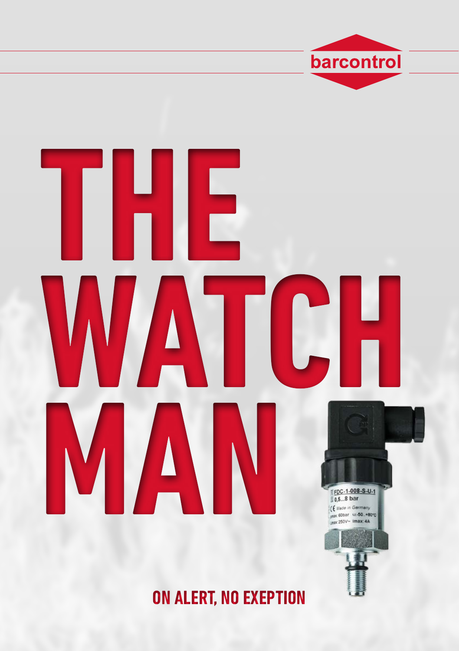

barcontrol

ON ALERT, NO EXEPTION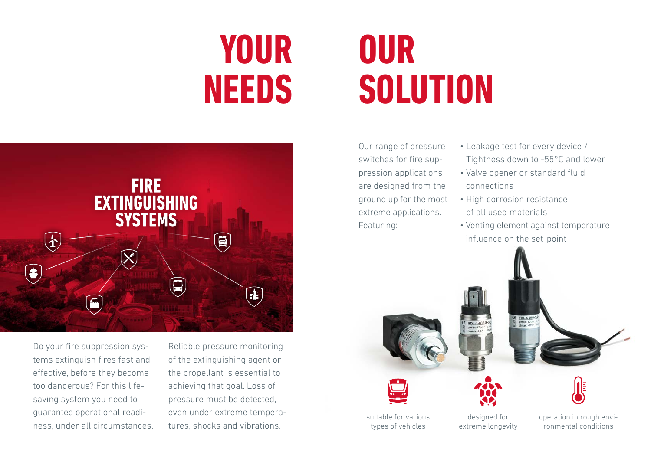### **Your Needs**



Do your fire suppression systems extinguish fires fast and effective, before they become too dangerous? For this lifesaving system you need to guarantee operational readiness, under all circumstances.

Reliable pressure monitoring of the extinguishing agent or the propellant is essential to achieving that goal. Loss of pressure must be detected, even under extreme temperatures, shocks and vibrations.

# **Our solution**

Our range of pressure switches for fire suppression applications are designed from the ground up for the most extreme applications. Featuring:

- Leakage test for every device / Tightness down to -55°C and lower
- Valve opener or standard fluid connections
- High corrosion resistance of all used materials
- Venting element against temperature influence on the set-point

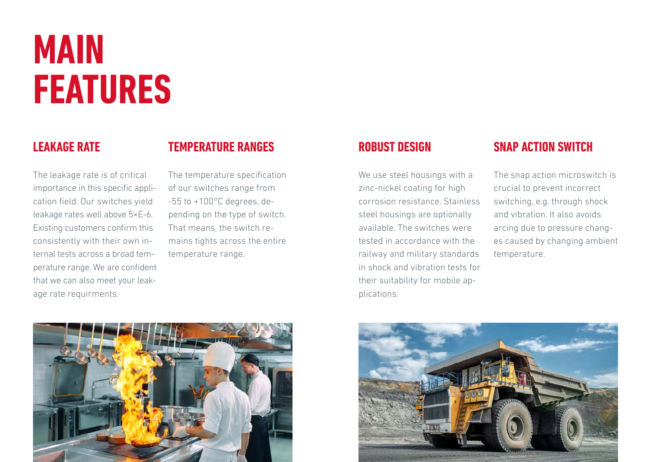### **main features**

#### **leakage rate**

#### **temperature ranges**

The leakage rate is of critical importance in this specific application field. Our switches yield leakage rates well above 5×E-6. Existing customers confirm this consistently with their own internal tests across a broad temperature range. We are confident that we can also meet your leakage rate requirments.

The temperature specification of our switches range from -55 to +100°C degrees, depending on the type of switch. That means, the switch remains tights across the entire temperature range.

#### **Robust design**

We use steel housings with a zinc-nickel coating for high corrosion resistance. Stainless steel housings are optionally available. The switches were tested in accordance with the railway and military standards in shock and vibration tests for their suitability for mobile applications.

#### **snap action switch**

The snap action microswitch is crucial to prevent incorrect switching, e.g. through shock and vibration. It also avoids arcing due to pressure changes caused by changing ambient temperature.



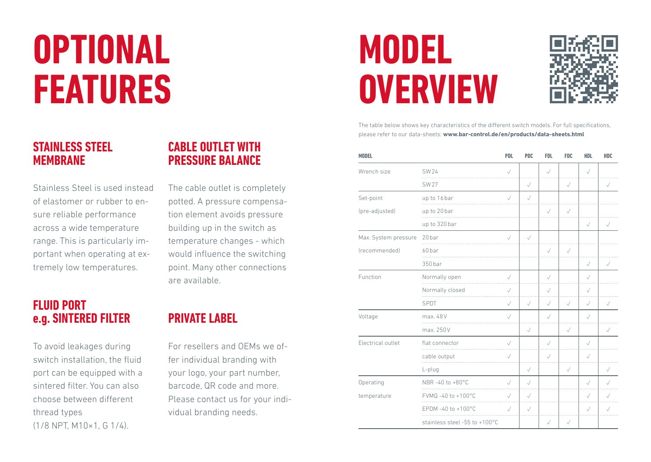# **Optional features**

#### **Stainless steel membrane**

Stainless Steel is used instead of elastomer or rubber to ensure reliable performance across a wide temperature range. This is particularly important when operating at extremely low temperatures.

#### **Fluid port e.g. sintered filter**

To avoid leakages during switch installation, the fluid port can be equipped with a sintered filter. You can also choose between different thread types (1/8 NPT, M10×1, G 1/4).

#### **cable outlet with pressure balance**

The cable outlet is completely potted. A pressure compensation element avoids pressure building up in the switch as temperature changes - which would influence the switching point. Many other connections are available.

### **Private labeL**

For resellers and OEMs we offer individual branding with your logo, your part number, barcode, QR code and more. Please contact us for your individual branding needs.

### **Model overview**



The table below shows key characteristics of the different switch models. For full specifications, please refer to our data-sheets: **www.bar-control.de/en/products/data-sheets.html**

| <b>MODEL</b>         |                               | <b>PDL</b>   | <b>PDC</b>   | <b>FDL</b>   | <b>FDC</b>   | <b>HDL</b>   | <b>HDC</b>   |
|----------------------|-------------------------------|--------------|--------------|--------------|--------------|--------------|--------------|
| Wrench size          | <b>SW24</b>                   | $\checkmark$ |              | $\checkmark$ |              | $\checkmark$ |              |
|                      | <b>SW27</b>                   |              | $\checkmark$ |              | $\checkmark$ |              | $\checkmark$ |
| Set-point            | up to 16 bar                  | $\checkmark$ | $\sqrt{}$    |              |              |              |              |
| (pre-adjusted)       | up to 20 bar                  |              |              | $\checkmark$ | $\sqrt{}$    |              |              |
|                      | up to 320 bar                 |              |              |              |              | $\checkmark$ | $\checkmark$ |
| Max. System pressure | 20 bar<br>.                   | $\sqrt{}$    | $\checkmark$ |              |              |              |              |
| (recommended)        | 60 bar                        |              |              | $\sqrt{}$    | $\checkmark$ |              |              |
|                      | 350 bar                       |              |              |              |              | $\sqrt{}$    | $\checkmark$ |
| Function             | Normally open                 | $\sqrt{}$    |              | $\sqrt{}$    |              | $\checkmark$ |              |
|                      | Normally closed<br>.          | $\checkmark$ |              | $\checkmark$ |              | $\checkmark$ |              |
|                      | SPDT                          | $\checkmark$ | $\checkmark$ | $\checkmark$ | $\sqrt{}$    | $\sqrt{}$    | $\checkmark$ |
| Voltage              | max. 48V                      | $\sqrt{}$    |              | $\sqrt{}$    |              | $\checkmark$ |              |
|                      | max. 250V                     |              | $\sqrt{}$    |              | $\checkmark$ |              | $\checkmark$ |
| Electrical outlet    | flat connector                | $\sqrt{}$    |              | $\checkmark$ |              | $\checkmark$ |              |
|                      | cable output                  | $\checkmark$ |              | $\checkmark$ |              | $\checkmark$ |              |
|                      | L-plug                        |              | $\checkmark$ |              | $\sqrt{}$    |              | $\checkmark$ |
| Operating            | NBR-40 to +80°C               | $\checkmark$ | $\checkmark$ |              |              | $\checkmark$ | $\sqrt{}$    |
| temperature          | FVMQ -40 to +100 $^{\circ}$ C | $\checkmark$ | $\checkmark$ |              |              | $\checkmark$ | $\checkmark$ |
|                      | EPDM-40 to +100°C             | $\sqrt{}$    | $\sqrt{}$    |              |              | $\sqrt{}$    | $\checkmark$ |
|                      | stainless steel -55 to +100°C |              |              | $\checkmark$ | $\sqrt{}$    |              |              |